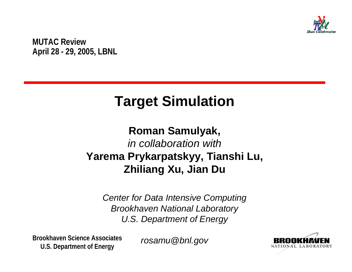

**MUTAC Review April 28 - 29, 2005, LBNL**

# **Target Simulation**

#### **Roman Samulyak,** *in collaboration with***Yarema Prykarpatskyy, Tianshi Lu, Zhiliang Xu, Jian Du**

*Center for Data Intensive Computing Brookhaven National Laboratory U.S. Department of Energy*

**Brookhaven Science AssociatesU.S. Department of Energy**

*rosamu@bnl.gov*

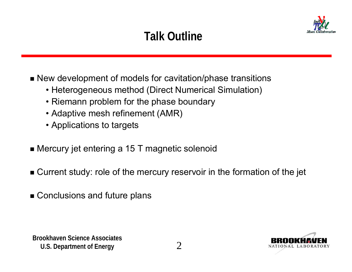# **Talk Outline**



- New development of models for cavitation/phase transitions
	- Heterogeneous method (Direct Numerical Simulation)
	- Riemann problem for the phase boundary
	- Adaptive mesh refinement (AMR)
	- Applications to targets
- Mercury jet entering a 15 T magnetic solenoid
- Current study: role of the mercury reservoir in the formation of the jet
- Conclusions and future plans



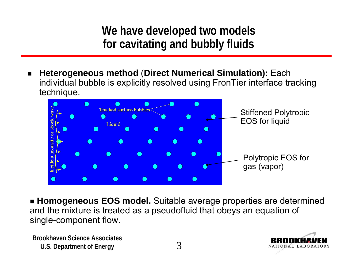**We have developed two models for cavitating and bubbly fluids**

 $\blacksquare$  **Heterogeneous method** (**Direct Numerical Simulation):** Each individual bubble is explicitly resolved using FronTier interface tracking technique.



 **Homogeneous EOS model.** Suitable average properties are determined and the mixture is treated as a pseudofluid that obeys an equation of single-component flow.

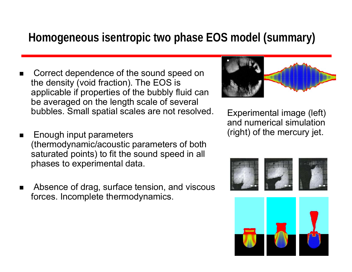#### **Homogeneous isentropic two phase EOS model (summary)**

- $\blacksquare$  Correct dependence of the sound speed on the density (void fraction). The EOS is applicable if properties of the bubbly fluid can be averaged on the length scale of several bubbles. Small spatial scales are not resolved.
- $\blacksquare$  Enough input parameters (thermodynamic/acoustic parameters of both saturated points) to fit the sound speed in all phases to experimental data.
- $\blacksquare$  Absence of drag, surface tension, and viscous forces. Incomplete thermodynamics.



Experimental image (left) and numerical simulation (right) of the mercury jet.



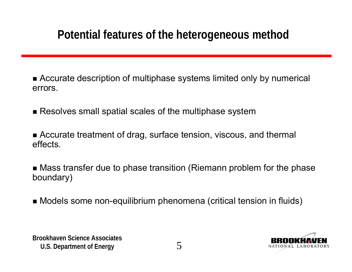## **Potential features of the heterogeneous method**

- Accurate description of multiphase systems limited only by numerical errors.
- $\blacksquare$  Resolves small spatial scales of the multiphase system
- Accurate treatment of drag, surface tension, viscous, and thermal effects.
- Mass transfer due to phase transition (Riemann problem for the phase boundary)
- Models some non-equilibrium phenomena (critical tension in fluids)



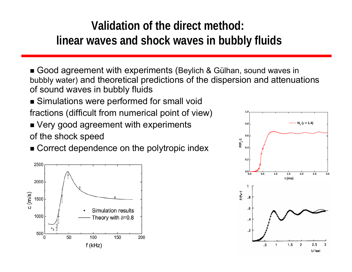# **Validation of the direct method: linear waves and shock waves in bubbly fluids**

■ Good agreement with experiments (Beylich & Gülhan, sound waves in bubbly water) and theoretical predictions of the dispersion and attenuations of sound waves in bubbly fluids

- Simulations were performed for small void fractions (difficult from numerical point of view)
- Very good agreement with experiments of the shock speed
- Correct dependence on the polytropic index



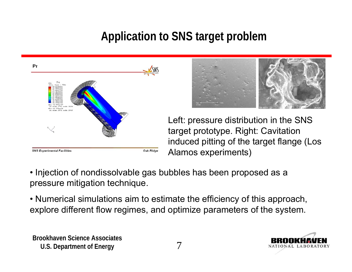# **Application to SNS target problem**





Left: pressure distribution in the SNS target prototype. Right: Cavitation induced pitting of the target flange (Los Alamos experiments)

- Injection of nondissolvable gas bubbles has been proposed as a pressure mitigation technique.
- Numerical simulations aim to estimate the efficiency of this approach, explore different flow regimes, and optimize parameters of the system.



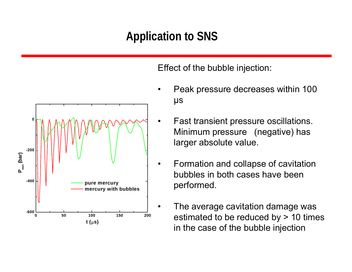# **Application to SNS**

•



Effect of the bubble injection:

- Peak pressure decreases within 100 μs
- Fast transient pressure oscillations. Minimum pressure (negative) has larger absolute value.
- Formation and collapse of cavitation bubbles in both cases have been performed.
- The average cavitation damage was estimated to be reduced by > 10 times in the case of the bubble injection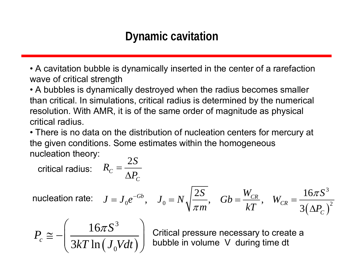#### **Dynamic cavitation**

• A cavitation bubble is dynamically inserted in the center of a rarefaction wave of critical strength

• A bubbles is dynamically destroyed when the radius becomes smaller than critical. In simulations, critical radius is determined by the numerical resolution. With AMR, it is of the same order of magnitude as physical critical radius.

• There is no data on the distribution of nucleation centers for mercury at the given conditions. Some estimates within the homogeneous nucleation theory: 2 *S*

*C*

critical radius: 
$$
R_c = \frac{2S}{\Delta P_c}
$$

 $\left(\Delta P_{C}^{{}}\right)$ 3  $0^{\rm c}$ ,  $J_0 - I_1$   $\left| \right|_{\left| \right| = 0}$ ,  $0^{\rm c} - I_T$ ,  $I_0^{\rm c}$ ,  $I_1^{\rm c}$ 2S  $\sim$   $W_{CP}$   $\sim$  16  $kT$ ,  $\sqrt[m]{\pi m}$ ,  $kT$ ,  $\sqrt[m]{CR}$ , 3  $Gb, J_0 = N_1 \left| \frac{2D}{r}, Gb = \frac{VCR}{LT}, W_{CR} \right|$ *C*  $S \sim W_{CP} \sim 16\pi S$  $J = J_0 e^{-Gb}$ ,  $J_0 = N \sqrt{\frac{2G}{\pi m}}$ ,  $Gb = \frac{FcR}{kT}$ ,  $W_{CR} = \frac{2GR}{3(\Delta P)}$  $\pi$  $\pi$  $J_0 e^{-\alpha b}$ ,  $J_0 = N_A$  —,  $Gb = \frac{cK}{a}$ ,  $W_{CB} =$  $\Delta$ nucleation rate:

$$
P_c \cong -\left(\frac{16\pi S^3}{3kT\ln\left(J_0Vdt\right)}\right)
$$

bubble in volume V during time dt Critical pressure necessary to create a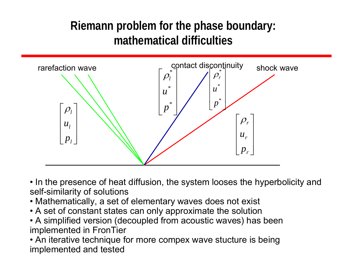### **Riemann problem for the phase boundary: mathematical difficulties**



• In the presence of heat diffusion, the system looses the hyperbolicity and self-similarity of solutions

- Mathematically, a set of elementary waves does not exist
- A set of constant states can only approximate the solution
- A simplified version (decoupled from acoustic waves) has been implemented in FronTier

**• An iterative technique for more compex wave stucture is being** If the call the coming of the component of the component of the set of the component of the component of the component of the component of the component of the component of the component of the component of the component o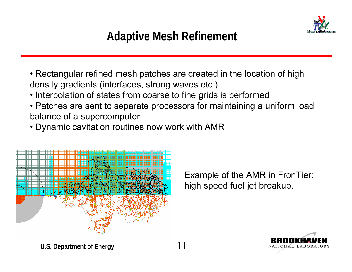

## **Adaptive Mesh Refinement**

- Rectangular refined mesh patches are created in the location of high density gradients (interfaces, strong waves etc.)
- Interpolation of states from coarse to fine grids is performed
- Patches are sent to separate processors for maintaining a uniform load balance of a supercomputer
- Dynamic cavitation routines now work with AMR



Example of the AMR in FronTier: high speed fuel jet breakup.

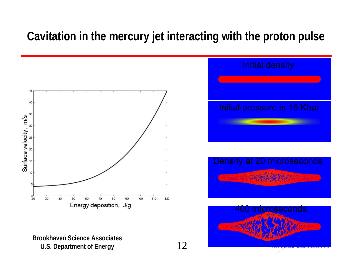#### **Cavitation in the mercury jet interacting with the proton pulse**



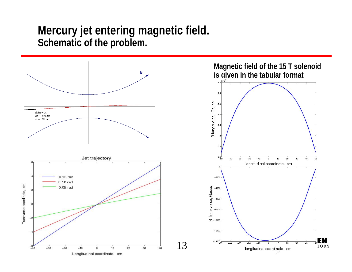#### **Mercury jet entering magnetic field.** Schematic of the problem.

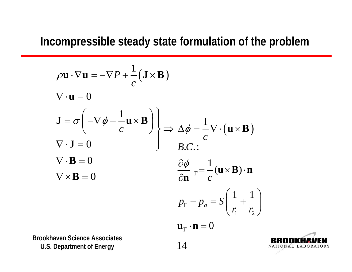#### **Incompressible steady state formulation of the problem**

$$
\rho \mathbf{u} \cdot \nabla \mathbf{u} = -\nabla P + \frac{1}{c} (\mathbf{J} \times \mathbf{B})
$$
  
\n
$$
\nabla \cdot \mathbf{u} = 0
$$
  
\n
$$
\mathbf{J} = \sigma \left( -\nabla \phi + \frac{1}{c} \mathbf{u} \times \mathbf{B} \right)
$$
  
\n
$$
\nabla \cdot \mathbf{J} = 0
$$
  
\n
$$
\nabla \cdot \mathbf{B} = 0
$$
  
\n
$$
\nabla \times \mathbf{B} = 0
$$
  
\n
$$
\nabla \times \mathbf{B} = 0
$$
  
\n
$$
\frac{\partial \phi}{\partial \mathbf{n}} \Big|_{\Gamma} = \frac{1}{c} (\mathbf{u} \times \mathbf{B}) \cdot \mathbf{n}
$$
  
\n
$$
p_{\Gamma} - p_{a} = S \left( \frac{1}{r_{1}} + \frac{1}{r_{2}} \right)
$$
  
\n
$$
\mathbf{u}_{\Gamma} \cdot \mathbf{n} = 0
$$

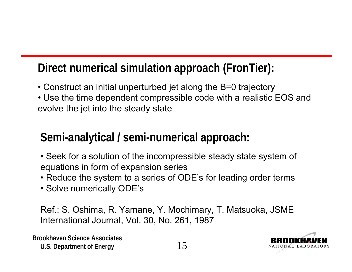### **Direct numerical simulation approach (FronTier):**

- Construct an initial unperturbed jet along the B=0 trajectory
- Use the time dependent compressible code with a realistic EOS and evolve the jet into the steady state

### **Semi-analytical / semi-numerical approach:**

- Seek for a solution of the incompressible steady state system of equations in form of expansion series
- Reduce the system to a series of ODE's for leading order terms
- Solve numerically ODE's

Ref.: S. Oshima, R. Yamane, Y. Mochimary, T. Matsuoka, JSME International Journal, Vol. 30, No. 261, 1987

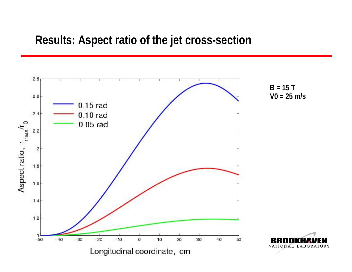#### **Results: Aspect ratio of the jet cross-section**

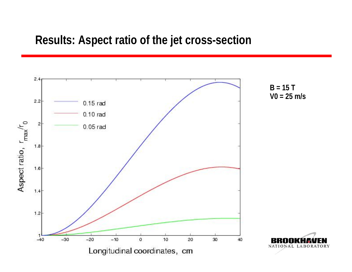#### **Results: Aspect ratio of the jet cross-section**